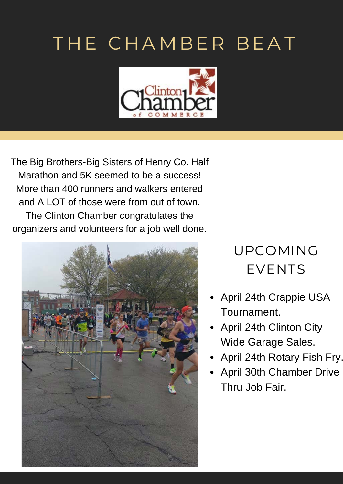# THE CHAMBER BEAT



The Big Brothers-Big Sisters of Henry Co. Half Marathon and 5K seemed to be a success! More than 400 runners and walkers entered and A LOT of those were from out of town. The Clinton Chamber congratulates the organizers and volunteers for a job well done.



## UPCOMING EVENTS

- April 24th Crappie USA Tournament.
- April 24th Clinton City Wide Garage Sales.
- April 24th Rotary Fish Fry.
- April 30th Chamber Drive Thru Job Fair.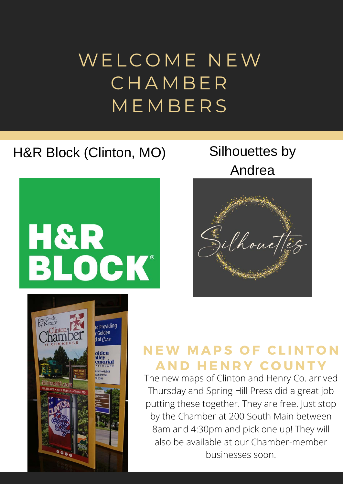# WELCOME NEW **CHAMBER MEMBERS**

### H&R Block (Clinton, MO) Silhouettes by



# Andrea





#### **N E W M A P S O F C L I N T O N A N D H E N R Y C O U N T Y**

The new maps of Clinton and Henry Co. arrived Thursday and Spring Hill Press did a great job putting these together. They are free. Just stop by the Chamber at 200 South Main between 8am and 4:30pm and pick one up! They will also be available at our Chamber-member businesses soon.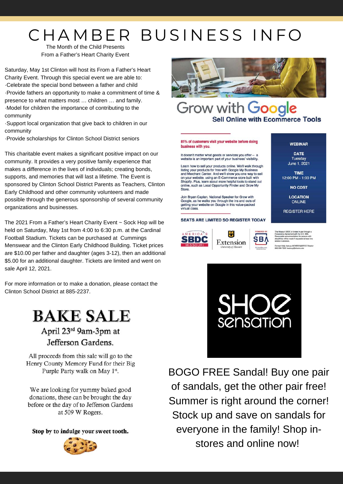# CHAMBER BUSINESS INFO

The Month of the Child Presents From a Father's Heart Charity Event

Saturday, May 1st Clinton will host its From a Father's Heart Charity Event. Through this special event we are able to: ·Celebrate the special bond between a father and child ·Provide fathers an opportunity to make a commitment of time & presence to what matters most … children … and family. ·Model for children the importance of contributing to the community

·Support local organization that give back to children in our community

·Provide scholarships for Clinton School District seniors

This charitable event makes a significant positive impact on our community. It provides a very positive family experience that makes a difference in the lives of individuals; creating bonds, supports, and memories that will last a lifetime. The Event is sponsored by Clinton School District Parents as Teachers, Clinton Early Childhood and other community volunteers and made possible through the generous sponsorship of several community organizations and businesses.

The 2021 From a Father's Heart Charity Event ~ Sock Hop will be held on Saturday, May 1st from 4:00 to 6:30 p.m. at the Cardinal Football Stadium. Tickets can be purchased at Cummings Menswear and the Clinton Early Childhood Building. Ticket prices are \$10.00 per father and daughter (ages 3-12), then an additional \$5.00 for an additional daughter. Tickets are limited and went on sale April 12, 2021.

For more information or to make a donation, please contact the Clinton School District at 885-2237.

#### **BAKE SALE** April 23rd 9am-3pm at

Jefferson Gardens.

All proceeds from this sale will go to the Henry County Memory Fund for their Big Purple Party walk on May 1st.

We are looking for yummy baked good donations, these can be brought the day before or the day of to Jefferson Gardens at 509 W Rogers.

Stop by to indulge your sweet tooth.





#### Grow with Google **Sell Online with Ecommerce Tools**

#### 81% of customers visit your website before doing business with you.

It doesn't matter what goods or services you offer website is an important part of your business' visibility. Learn how to sell your products online. We'll walk through

listing your products for free with Google My Business<br>and Merchant Center. And we'll show you one way to sell<br>on your website, using an E-Commerce store built with Shopify, Plus, learn about more helpful tools to stand out Shopity. Plus, learn about more helpful tools to stand o<br>online, such as Local Opportunity Finder and Grow My<br>Store.

Join Bryan Caplan, National Speaker for Grow with Google, as he walks you through the ins and outs of designer the name you modget in this value-packed<br>virtual class.

#### **SEATS ARE LIMITED SO REGISTER TODAY**





**WEBINAR** 

**DATE** 

Tuesday

June 1, 2021

**TIME** 12:00 PM - 1:00 PM

**NO COST** 

**LOCATION** 

**ONLINE** 

**REGISTER HERE** 



BOGO FREE Sandal! Buy one pair of sandals, get the other pair free! Summer is right around the corner! Stock up and save on sandals for everyone in the family! Shop instores and online now!